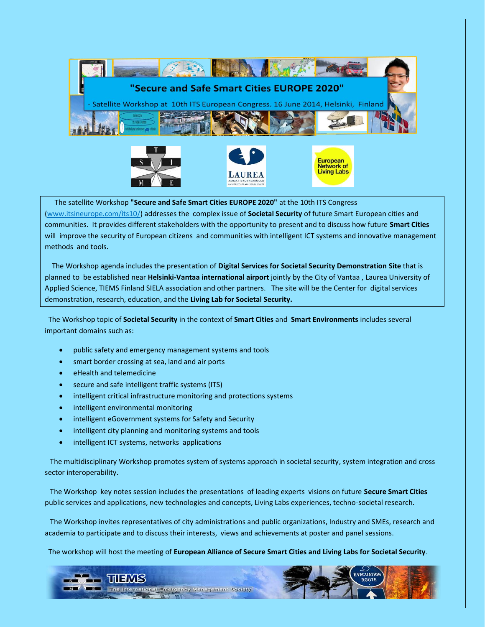

 The satellite Workshop **"Secure and Safe Smart Cities EUROPE 2020"** at the 10th ITS Congress (www.itsineurope.com/its10/) addresses the complex issue of **Societal Security** of future Smart European cities and communities. It provides different stakeholders with the opportunity to present and to discuss how future **Smart Cities** will improve the security of European citizens and communities with intelligent ICT systems and innovative management methods and tools.

 The Workshop agenda includes the presentation of **Digital Services for Societal Security Demonstration Site** that is planned to be established near **Helsinki-Vantaa international airport** jointly by the City of Vantaa , Laurea University of Applied Science, TIEMS Finland SIELA association and other partners.The site will be the Center for digital services demonstration, research, education, and the **Living Lab for Societal Security.**

 The Workshop topic of **Societal Security** in the context of **Smart Cities** and **Smart Environments** includes several important domains such as:

- public safety and emergency management systems and tools
- smart border crossing at sea, land and air ports
- eHealth and telemedicine
- secure and safe intelligent traffic systems (ITS)
- intelligent critical infrastructure monitoring and protections systems
- intelligent environmental monitoring
- intelligent eGovernment systems for Safety and Security
- intelligent city planning and monitoring systems and tools
- intelligent ICT systems, networks applications

 The multidisciplinary Workshop promotes system of systems approach in societal security, system integration and cross sector interoperability.

 The Workshop key notes session includes the presentations of leading experts visions on future **Secure Smart Cities** public services and applications, new technologies and concepts, Living Labs experiences, techno-societal research.

 The Workshop invites representatives of city administrations and public organizations, Industry and SMEs, research and academia to participate and to discuss their interests, views and achievements at poster and panel sessions.

The workshop will host the meeting of **European Alliance of Secure Smart Cities and Living Labs for Societal Security**.